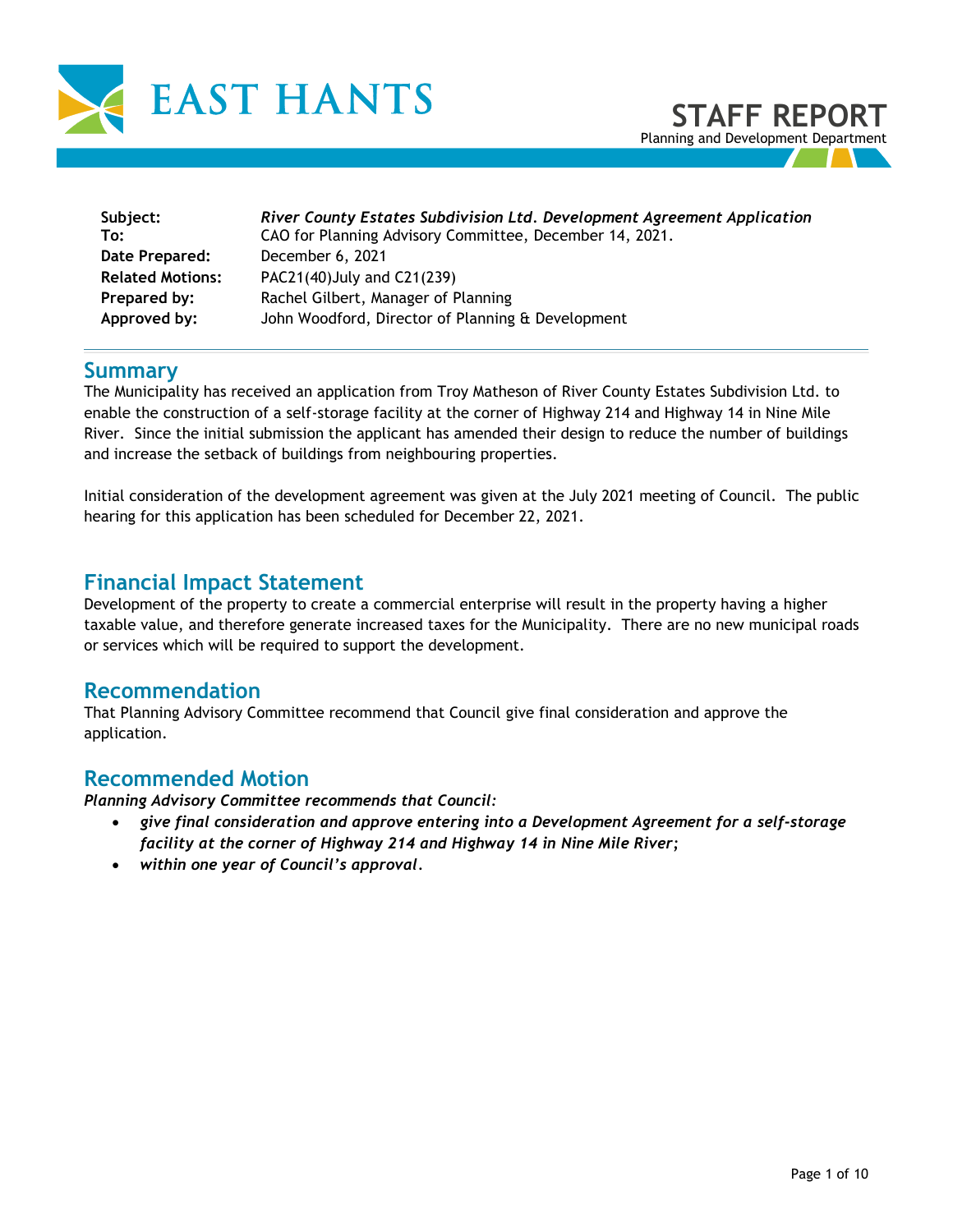

| Subject:                | River County Estates Subdivision Ltd. Development Agreement Application |
|-------------------------|-------------------------------------------------------------------------|
| To:                     | CAO for Planning Advisory Committee, December 14, 2021.                 |
| Date Prepared:          | December 6, 2021                                                        |
| <b>Related Motions:</b> | PAC21(40) July and C21(239)                                             |
| Prepared by:            | Rachel Gilbert, Manager of Planning                                     |
| Approved by:            | John Woodford, Director of Planning & Development                       |

# **Summary**

The Municipality has received an application from Troy Matheson of River County Estates Subdivision Ltd. to enable the construction of a self-storage facility at the corner of Highway 214 and Highway 14 in Nine Mile River. Since the initial submission the applicant has amended their design to reduce the number of buildings and increase the setback of buildings from neighbouring properties.

Initial consideration of the development agreement was given at the July 2021 meeting of Council. The public hearing for this application has been scheduled for December 22, 2021.

# **Financial Impact Statement**

Development of the property to create a commercial enterprise will result in the property having a higher taxable value, and therefore generate increased taxes for the Municipality. There are no new municipal roads or services which will be required to support the development.

## **Recommendation**

That Planning Advisory Committee recommend that Council give final consideration and approve the application.

## **Recommended Motion**

*Planning Advisory Committee recommends that Council:* 

- *give final consideration and approve entering into a Development Agreement for a self-storage facility at the corner of Highway 214 and Highway 14 in Nine Mile River;*
- *within one year of Council's approval.*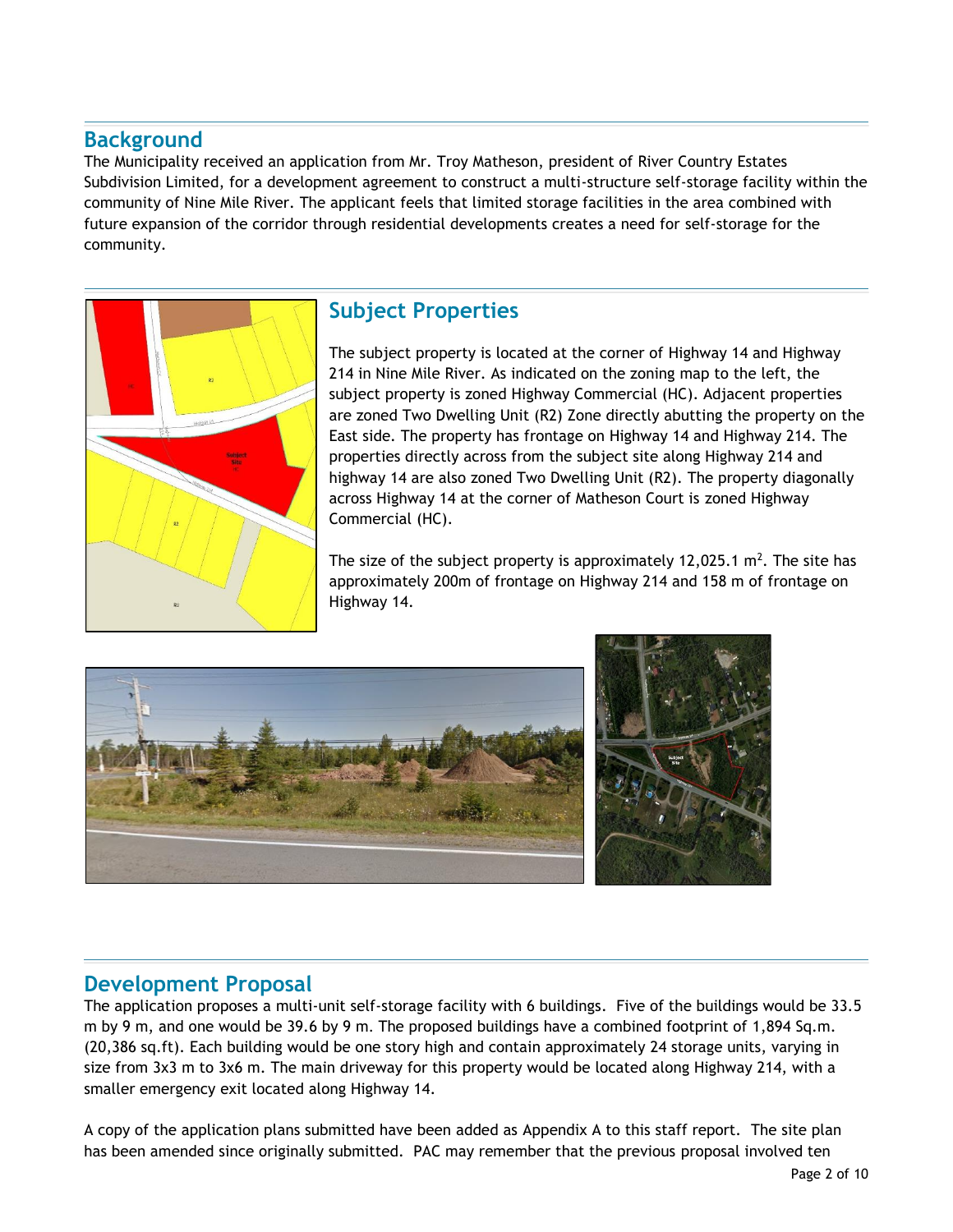# **Background**

The Municipality received an application from Mr. Troy Matheson, president of River Country Estates Subdivision Limited, for a development agreement to construct a multi-structure self-storage facility within the community of Nine Mile River. The applicant feels that limited storage facilities in the area combined with future expansion of the corridor through residential developments creates a need for self-storage for the community.



# **Subject Properties**

The subject property is located at the corner of Highway 14 and Highway 214 in Nine Mile River. As indicated on the zoning map to the left, the subject property is zoned Highway Commercial (HC). Adjacent properties are zoned Two Dwelling Unit (R2) Zone directly abutting the property on the East side. The property has frontage on Highway 14 and Highway 214. The properties directly across from the subject site along Highway 214 and highway 14 are also zoned Two Dwelling Unit (R2). The property diagonally across Highway 14 at the corner of Matheson Court is zoned Highway Commercial (HC).

The size of the subject property is approximately 12,025.1  $m^2$ . The site has approximately 200m of frontage on Highway 214 and 158 m of frontage on Highway 14.



# **Development Proposal**

The application proposes a multi-unit self-storage facility with 6 buildings. Five of the buildings would be 33.5 m by 9 m, and one would be 39.6 by 9 m. The proposed buildings have a combined footprint of 1,894 Sq.m. (20,386 sq.ft). Each building would be one story high and contain approximately 24 storage units, varying in size from 3x3 m to 3x6 m. The main driveway for this property would be located along Highway 214, with a smaller emergency exit located along Highway 14.

A copy of the application plans submitted have been added as Appendix A to this staff report. The site plan has been amended since originally submitted. PAC may remember that the previous proposal involved ten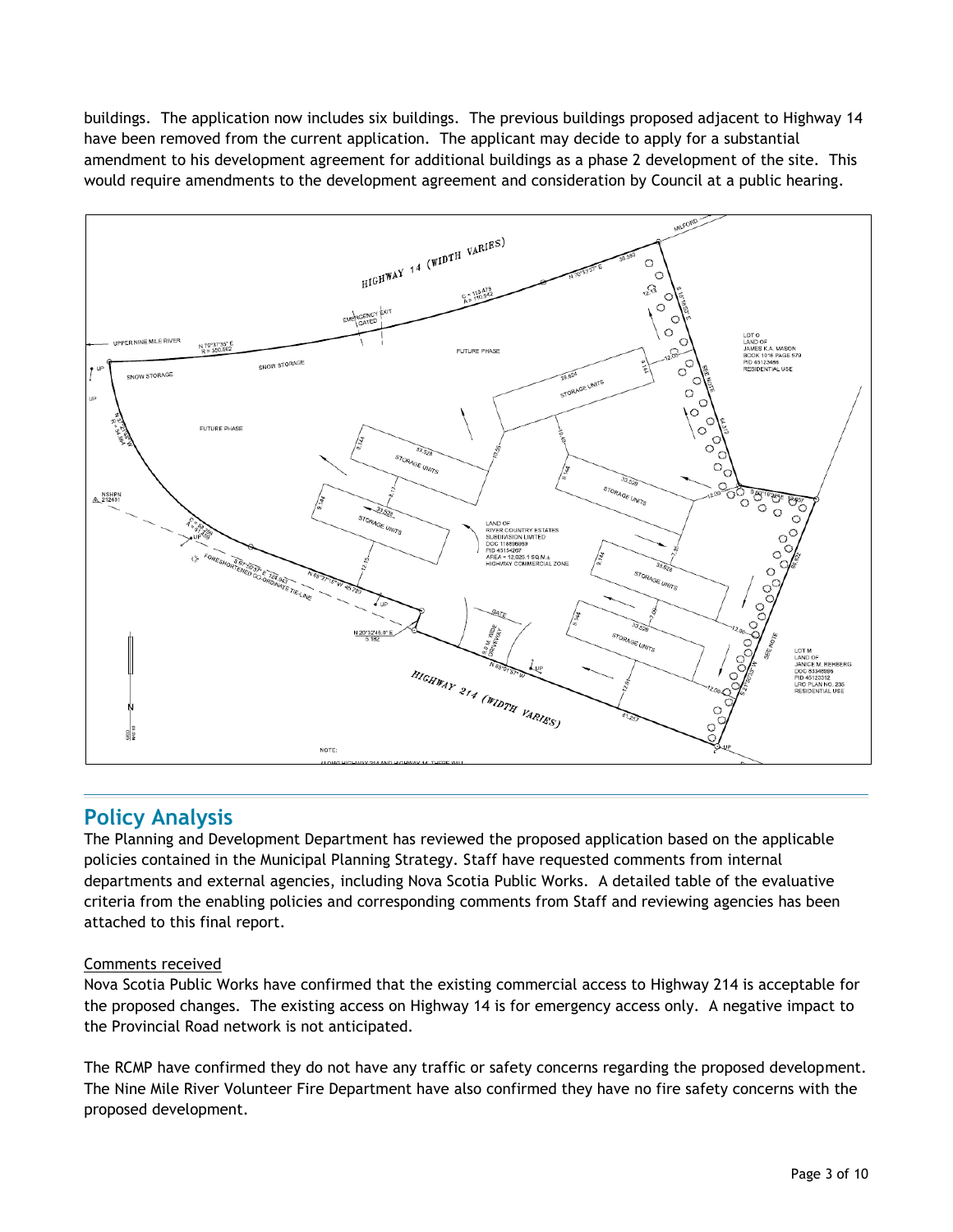buildings. The application now includes six buildings. The previous buildings proposed adjacent to Highway 14 have been removed from the current application. The applicant may decide to apply for a substantial amendment to his development agreement for additional buildings as a phase 2 development of the site. This would require amendments to the development agreement and consideration by Council at a public hearing.



# **Policy Analysis**

The Planning and Development Department has reviewed the proposed application based on the applicable policies contained in the Municipal Planning Strategy. Staff have requested comments from internal departments and external agencies, including Nova Scotia Public Works. A detailed table of the evaluative criteria from the enabling policies and corresponding comments from Staff and reviewing agencies has been attached to this final report.

#### Comments received

Nova Scotia Public Works have confirmed that the existing commercial access to Highway 214 is acceptable for the proposed changes. The existing access on Highway 14 is for emergency access only. A negative impact to the Provincial Road network is not anticipated.

The RCMP have confirmed they do not have any traffic or safety concerns regarding the proposed development. The Nine Mile River Volunteer Fire Department have also confirmed they have no fire safety concerns with the proposed development.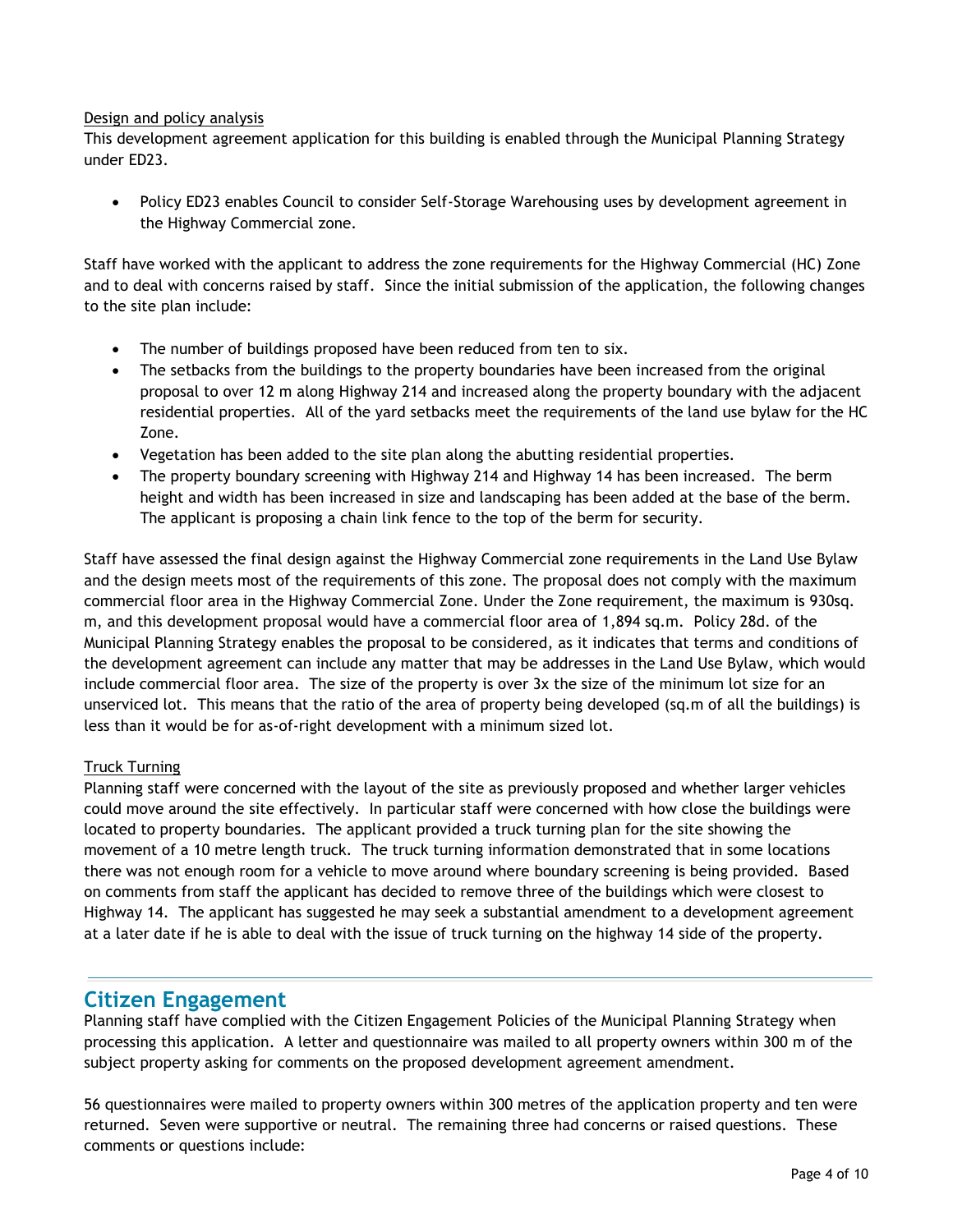#### Design and policy analysis

This development agreement application for this building is enabled through the Municipal Planning Strategy under ED23.

• Policy ED23 enables Council to consider Self-Storage Warehousing uses by development agreement in the Highway Commercial zone.

Staff have worked with the applicant to address the zone requirements for the Highway Commercial (HC) Zone and to deal with concerns raised by staff. Since the initial submission of the application, the following changes to the site plan include:

- The number of buildings proposed have been reduced from ten to six.
- The setbacks from the buildings to the property boundaries have been increased from the original proposal to over 12 m along Highway 214 and increased along the property boundary with the adjacent residential properties. All of the yard setbacks meet the requirements of the land use bylaw for the HC Zone.
- Vegetation has been added to the site plan along the abutting residential properties.
- The property boundary screening with Highway 214 and Highway 14 has been increased. The berm height and width has been increased in size and landscaping has been added at the base of the berm. The applicant is proposing a chain link fence to the top of the berm for security.

Staff have assessed the final design against the Highway Commercial zone requirements in the Land Use Bylaw and the design meets most of the requirements of this zone. The proposal does not comply with the maximum commercial floor area in the Highway Commercial Zone. Under the Zone requirement, the maximum is 930sq. m, and this development proposal would have a commercial floor area of 1,894 sq.m. Policy 28d. of the Municipal Planning Strategy enables the proposal to be considered, as it indicates that terms and conditions of the development agreement can include any matter that may be addresses in the Land Use Bylaw, which would include commercial floor area. The size of the property is over 3x the size of the minimum lot size for an unserviced lot. This means that the ratio of the area of property being developed (sq.m of all the buildings) is less than it would be for as-of-right development with a minimum sized lot.

#### Truck Turning

Planning staff were concerned with the layout of the site as previously proposed and whether larger vehicles could move around the site effectively. In particular staff were concerned with how close the buildings were located to property boundaries. The applicant provided a truck turning plan for the site showing the movement of a 10 metre length truck. The truck turning information demonstrated that in some locations there was not enough room for a vehicle to move around where boundary screening is being provided. Based on comments from staff the applicant has decided to remove three of the buildings which were closest to Highway 14. The applicant has suggested he may seek a substantial amendment to a development agreement at a later date if he is able to deal with the issue of truck turning on the highway 14 side of the property.

## **Citizen Engagement**

Planning staff have complied with the Citizen Engagement Policies of the Municipal Planning Strategy when processing this application. A letter and questionnaire was mailed to all property owners within 300 m of the subject property asking for comments on the proposed development agreement amendment.

56 questionnaires were mailed to property owners within 300 metres of the application property and ten were returned. Seven were supportive or neutral. The remaining three had concerns or raised questions. These comments or questions include: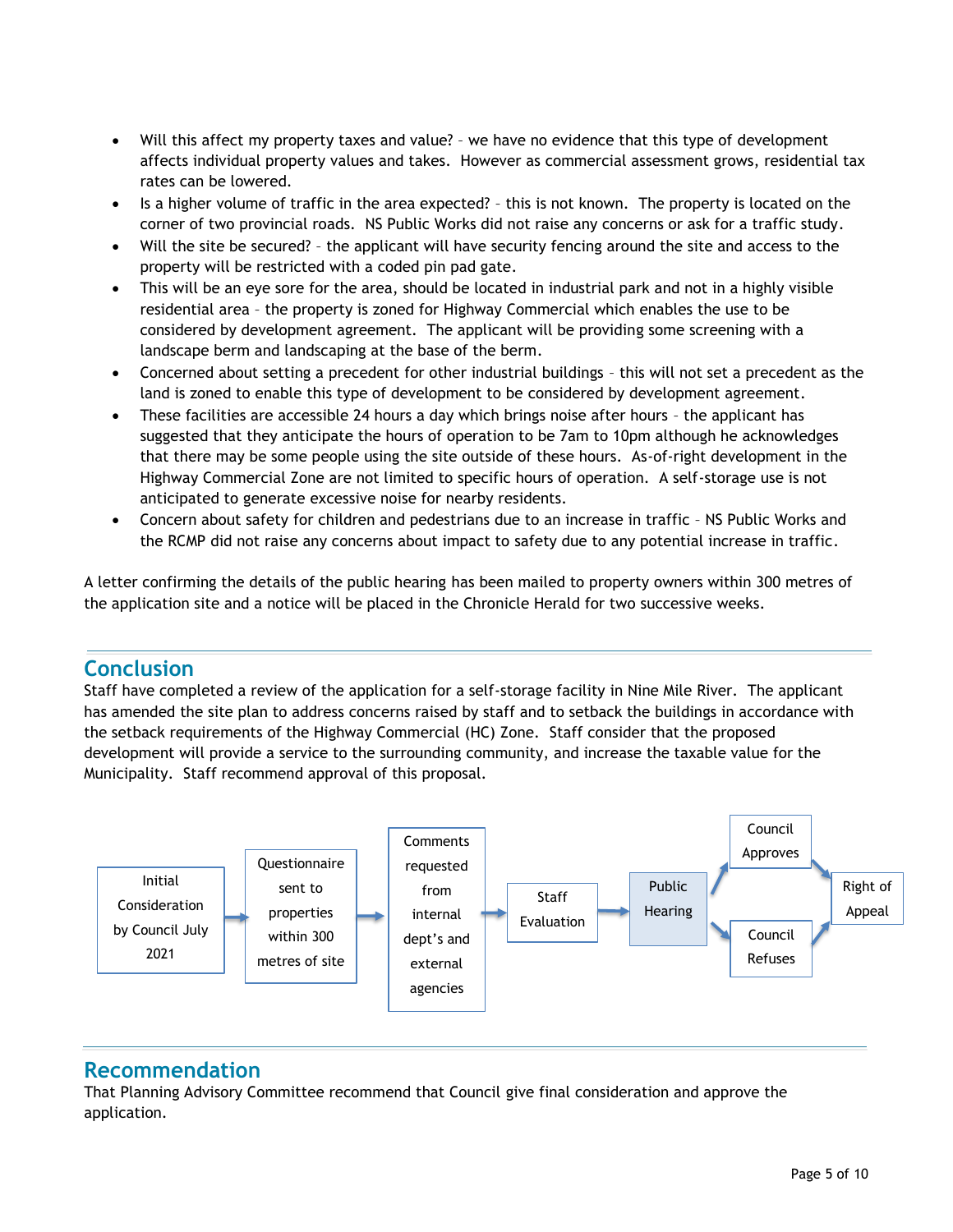- Will this affect my property taxes and value? we have no evidence that this type of development affects individual property values and takes. However as commercial assessment grows, residential tax rates can be lowered.
- Is a higher volume of traffic in the area expected? this is not known. The property is located on the corner of two provincial roads. NS Public Works did not raise any concerns or ask for a traffic study.
- Will the site be secured? the applicant will have security fencing around the site and access to the property will be restricted with a coded pin pad gate.
- This will be an eye sore for the area, should be located in industrial park and not in a highly visible residential area – the property is zoned for Highway Commercial which enables the use to be considered by development agreement. The applicant will be providing some screening with a landscape berm and landscaping at the base of the berm.
- Concerned about setting a precedent for other industrial buildings this will not set a precedent as the land is zoned to enable this type of development to be considered by development agreement.
- These facilities are accessible 24 hours a day which brings noise after hours the applicant has suggested that they anticipate the hours of operation to be 7am to 10pm although he acknowledges that there may be some people using the site outside of these hours. As-of-right development in the Highway Commercial Zone are not limited to specific hours of operation. A self-storage use is not anticipated to generate excessive noise for nearby residents.
- Concern about safety for children and pedestrians due to an increase in traffic NS Public Works and the RCMP did not raise any concerns about impact to safety due to any potential increase in traffic.

A letter confirming the details of the public hearing has been mailed to property owners within 300 metres of the application site and a notice will be placed in the Chronicle Herald for two successive weeks.

# **Conclusion**

Staff have completed a review of the application for a self-storage facility in Nine Mile River. The applicant has amended the site plan to address concerns raised by staff and to setback the buildings in accordance with the setback requirements of the Highway Commercial (HC) Zone. Staff consider that the proposed development will provide a service to the surrounding community, and increase the taxable value for the Municipality. Staff recommend approval of this proposal.



# **Recommendation**

That Planning Advisory Committee recommend that Council give final consideration and approve the application.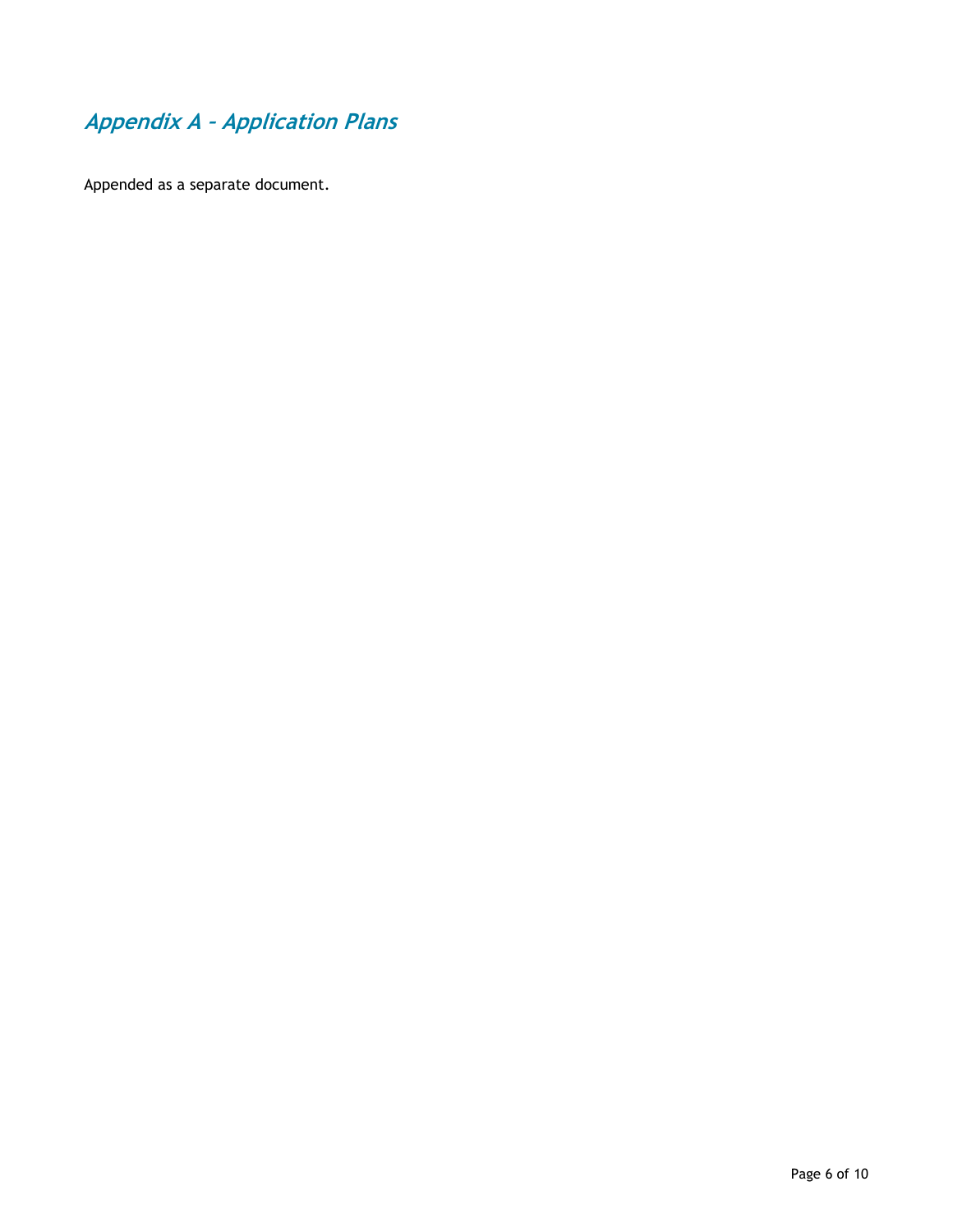# **Appendix A – Application Plans**

Appended as a separate document.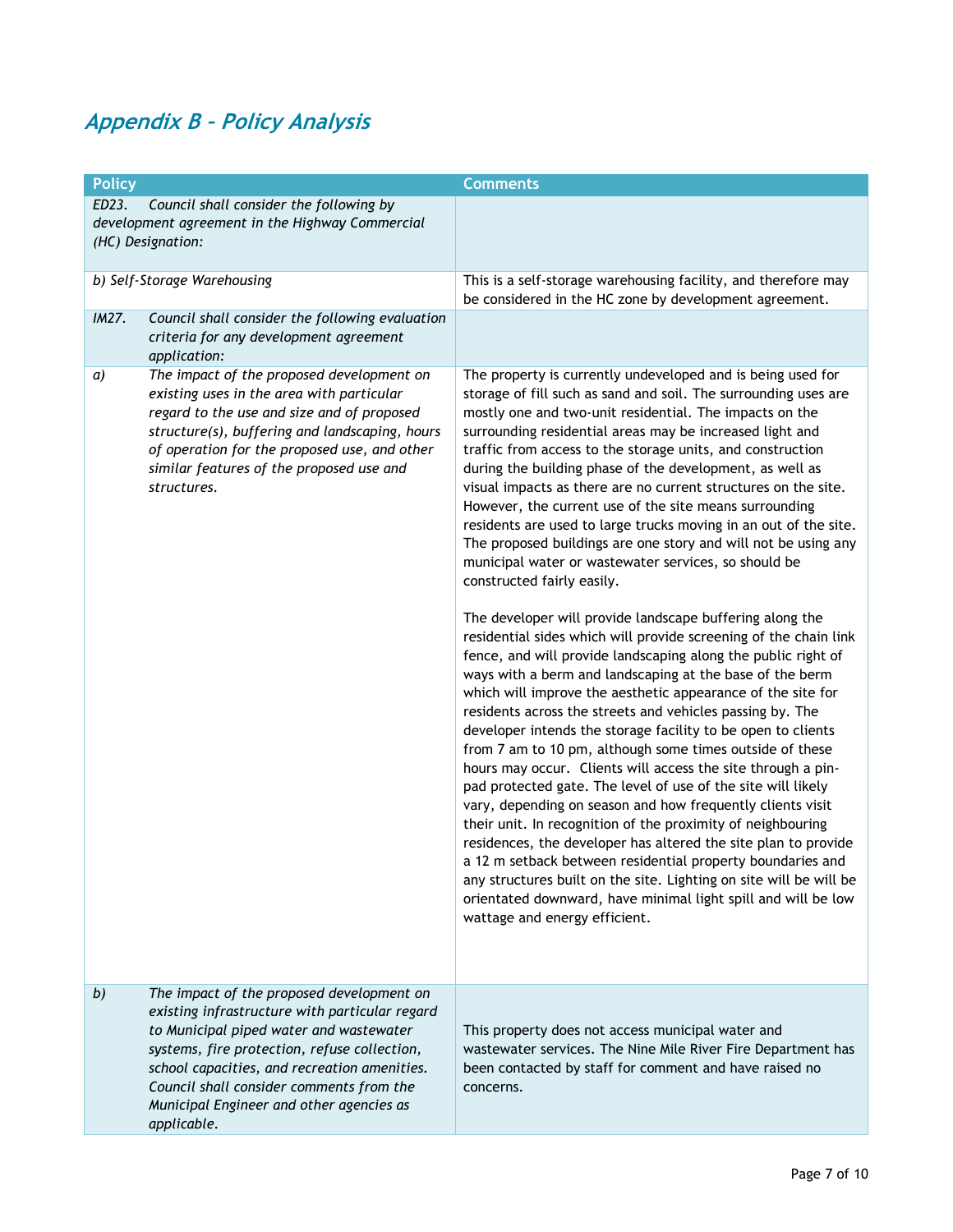# **Appendix B – Policy Analysis**

| <b>Policy</b> |                                                 | <b>Comments</b>                                                    |
|---------------|-------------------------------------------------|--------------------------------------------------------------------|
| ED23.         | Council shall consider the following by         |                                                                    |
|               | development agreement in the Highway Commercial |                                                                    |
|               | (HC) Designation:                               |                                                                    |
|               |                                                 |                                                                    |
|               | b) Self-Storage Warehousing                     | This is a self-storage warehousing facility, and therefore may     |
|               |                                                 | be considered in the HC zone by development agreement.             |
| IM27.         | Council shall consider the following evaluation |                                                                    |
|               | criteria for any development agreement          |                                                                    |
|               |                                                 |                                                                    |
|               | application:                                    |                                                                    |
| a)            | The impact of the proposed development on       | The property is currently undeveloped and is being used for        |
|               | existing uses in the area with particular       | storage of fill such as sand and soil. The surrounding uses are    |
|               | regard to the use and size and of proposed      | mostly one and two-unit residential. The impacts on the            |
|               | structure(s), buffering and landscaping, hours  | surrounding residential areas may be increased light and           |
|               | of operation for the proposed use, and other    | traffic from access to the storage units, and construction         |
|               | similar features of the proposed use and        | during the building phase of the development, as well as           |
|               | structures.                                     | visual impacts as there are no current structures on the site.     |
|               |                                                 | However, the current use of the site means surrounding             |
|               |                                                 | residents are used to large trucks moving in an out of the site.   |
|               |                                                 | The proposed buildings are one story and will not be using any     |
|               |                                                 | municipal water or wastewater services, so should be               |
|               |                                                 | constructed fairly easily.                                         |
|               |                                                 |                                                                    |
|               |                                                 |                                                                    |
|               |                                                 | The developer will provide landscape buffering along the           |
|               |                                                 | residential sides which will provide screening of the chain link   |
|               |                                                 | fence, and will provide landscaping along the public right of      |
|               |                                                 | ways with a berm and landscaping at the base of the berm           |
|               |                                                 | which will improve the aesthetic appearance of the site for        |
|               |                                                 | residents across the streets and vehicles passing by. The          |
|               |                                                 | developer intends the storage facility to be open to clients       |
|               |                                                 | from 7 am to 10 pm, although some times outside of these           |
|               |                                                 | hours may occur. Clients will access the site through a pin-       |
|               |                                                 | pad protected gate. The level of use of the site will likely       |
|               |                                                 | vary, depending on season and how frequently clients visit         |
|               |                                                 |                                                                    |
|               |                                                 | their unit. In recognition of the proximity of neighbouring        |
|               |                                                 | residences, the developer has altered the site plan to provide     |
|               |                                                 | a 12 m setback between residential property boundaries and         |
|               |                                                 | any structures built on the site. Lighting on site will be will be |
|               |                                                 | orientated downward, have minimal light spill and will be low      |
|               |                                                 | wattage and energy efficient.                                      |
|               |                                                 |                                                                    |
|               |                                                 |                                                                    |
|               |                                                 |                                                                    |
| b)            | The impact of the proposed development on       |                                                                    |
|               | existing infrastructure with particular regard  |                                                                    |
|               | to Municipal piped water and wastewater         | This property does not access municipal water and                  |
|               |                                                 |                                                                    |
|               | systems, fire protection, refuse collection,    | wastewater services. The Nine Mile River Fire Department has       |
|               | school capacities, and recreation amenities.    | been contacted by staff for comment and have raised no             |
|               | Council shall consider comments from the        | concerns.                                                          |
|               | Municipal Engineer and other agencies as        |                                                                    |
|               | applicable.                                     |                                                                    |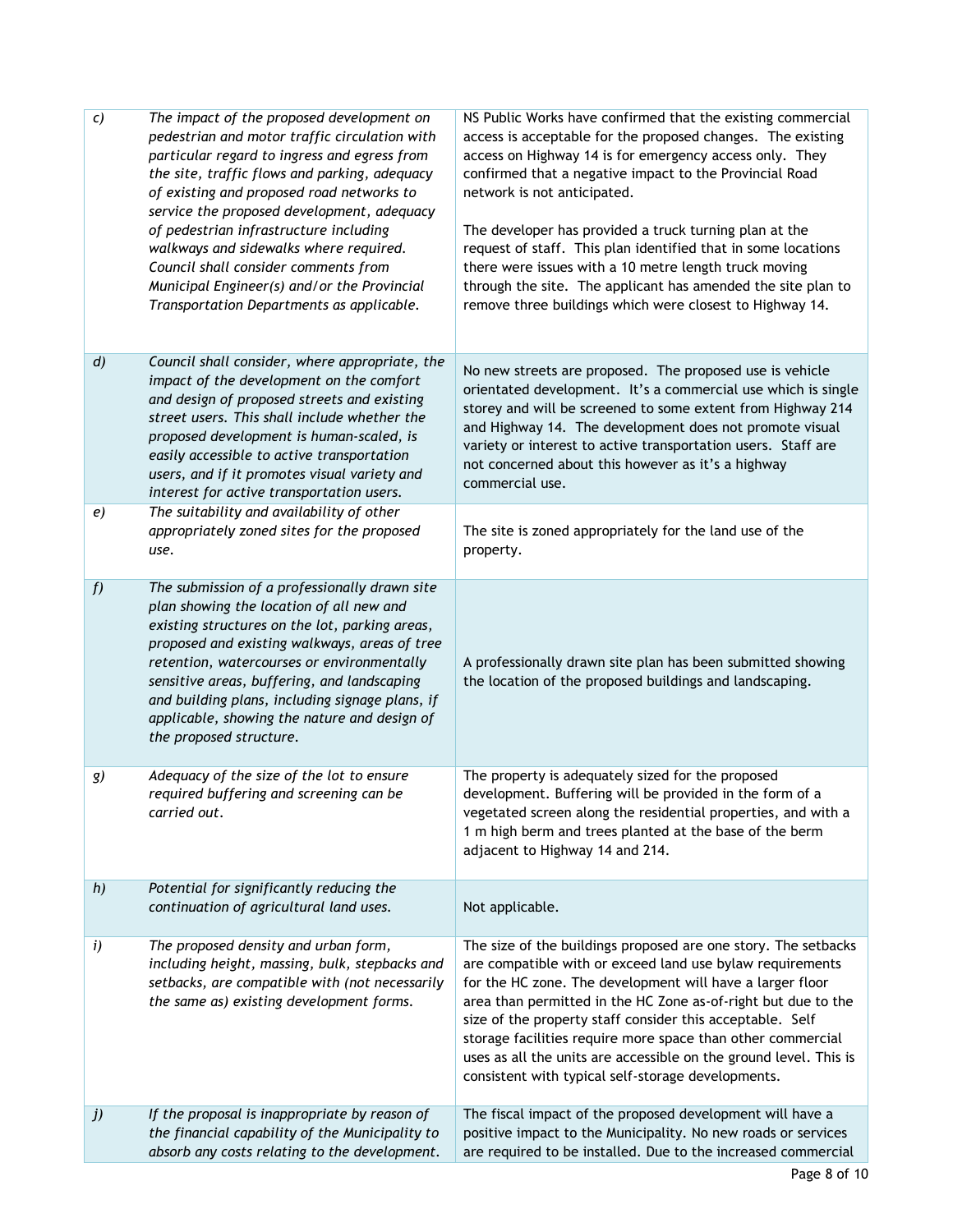| c)               | The impact of the proposed development on<br>pedestrian and motor traffic circulation with<br>particular regard to ingress and egress from<br>the site, traffic flows and parking, adequacy<br>of existing and proposed road networks to<br>service the proposed development, adequacy<br>of pedestrian infrastructure including<br>walkways and sidewalks where required.<br>Council shall consider comments from<br>Municipal Engineer(s) and/or the Provincial<br>Transportation Departments as applicable. | NS Public Works have confirmed that the existing commercial<br>access is acceptable for the proposed changes. The existing<br>access on Highway 14 is for emergency access only. They<br>confirmed that a negative impact to the Provincial Road<br>network is not anticipated.<br>The developer has provided a truck turning plan at the<br>request of staff. This plan identified that in some locations<br>there were issues with a 10 metre length truck moving<br>through the site. The applicant has amended the site plan to<br>remove three buildings which were closest to Highway 14. |
|------------------|----------------------------------------------------------------------------------------------------------------------------------------------------------------------------------------------------------------------------------------------------------------------------------------------------------------------------------------------------------------------------------------------------------------------------------------------------------------------------------------------------------------|-------------------------------------------------------------------------------------------------------------------------------------------------------------------------------------------------------------------------------------------------------------------------------------------------------------------------------------------------------------------------------------------------------------------------------------------------------------------------------------------------------------------------------------------------------------------------------------------------|
| $\boldsymbol{d}$ | Council shall consider, where appropriate, the<br>impact of the development on the comfort<br>and design of proposed streets and existing<br>street users. This shall include whether the<br>proposed development is human-scaled, is<br>easily accessible to active transportation<br>users, and if it promotes visual variety and<br>interest for active transportation users.                                                                                                                               | No new streets are proposed. The proposed use is vehicle<br>orientated development. It's a commercial use which is single<br>storey and will be screened to some extent from Highway 214<br>and Highway 14. The development does not promote visual<br>variety or interest to active transportation users. Staff are<br>not concerned about this however as it's a highway<br>commercial use.                                                                                                                                                                                                   |
| e)               | The suitability and availability of other<br>appropriately zoned sites for the proposed<br>use.                                                                                                                                                                                                                                                                                                                                                                                                                | The site is zoned appropriately for the land use of the<br>property.                                                                                                                                                                                                                                                                                                                                                                                                                                                                                                                            |
| f                | The submission of a professionally drawn site<br>plan showing the location of all new and<br>existing structures on the lot, parking areas,<br>proposed and existing walkways, areas of tree<br>retention, watercourses or environmentally<br>sensitive areas, buffering, and landscaping<br>and building plans, including signage plans, if<br>applicable, showing the nature and design of<br>the proposed structure.                                                                                        | A professionally drawn site plan has been submitted showing<br>the location of the proposed buildings and landscaping.                                                                                                                                                                                                                                                                                                                                                                                                                                                                          |
| g)               | Adequacy of the size of the lot to ensure<br>required buffering and screening can be<br>carried out.                                                                                                                                                                                                                                                                                                                                                                                                           | The property is adequately sized for the proposed<br>development. Buffering will be provided in the form of a<br>vegetated screen along the residential properties, and with a<br>1 m high berm and trees planted at the base of the berm<br>adjacent to Highway 14 and 214.                                                                                                                                                                                                                                                                                                                    |
| h)               | Potential for significantly reducing the<br>continuation of agricultural land uses.                                                                                                                                                                                                                                                                                                                                                                                                                            | Not applicable.                                                                                                                                                                                                                                                                                                                                                                                                                                                                                                                                                                                 |
| i)               | The proposed density and urban form,<br>including height, massing, bulk, stepbacks and<br>setbacks, are compatible with (not necessarily<br>the same as) existing development forms.                                                                                                                                                                                                                                                                                                                           | The size of the buildings proposed are one story. The setbacks<br>are compatible with or exceed land use bylaw requirements<br>for the HC zone. The development will have a larger floor<br>area than permitted in the HC Zone as-of-right but due to the<br>size of the property staff consider this acceptable. Self<br>storage facilities require more space than other commercial<br>uses as all the units are accessible on the ground level. This is<br>consistent with typical self-storage developments.                                                                                |
| j)               | If the proposal is inappropriate by reason of<br>the financial capability of the Municipality to<br>absorb any costs relating to the development.                                                                                                                                                                                                                                                                                                                                                              | The fiscal impact of the proposed development will have a<br>positive impact to the Municipality. No new roads or services<br>are required to be installed. Due to the increased commercial                                                                                                                                                                                                                                                                                                                                                                                                     |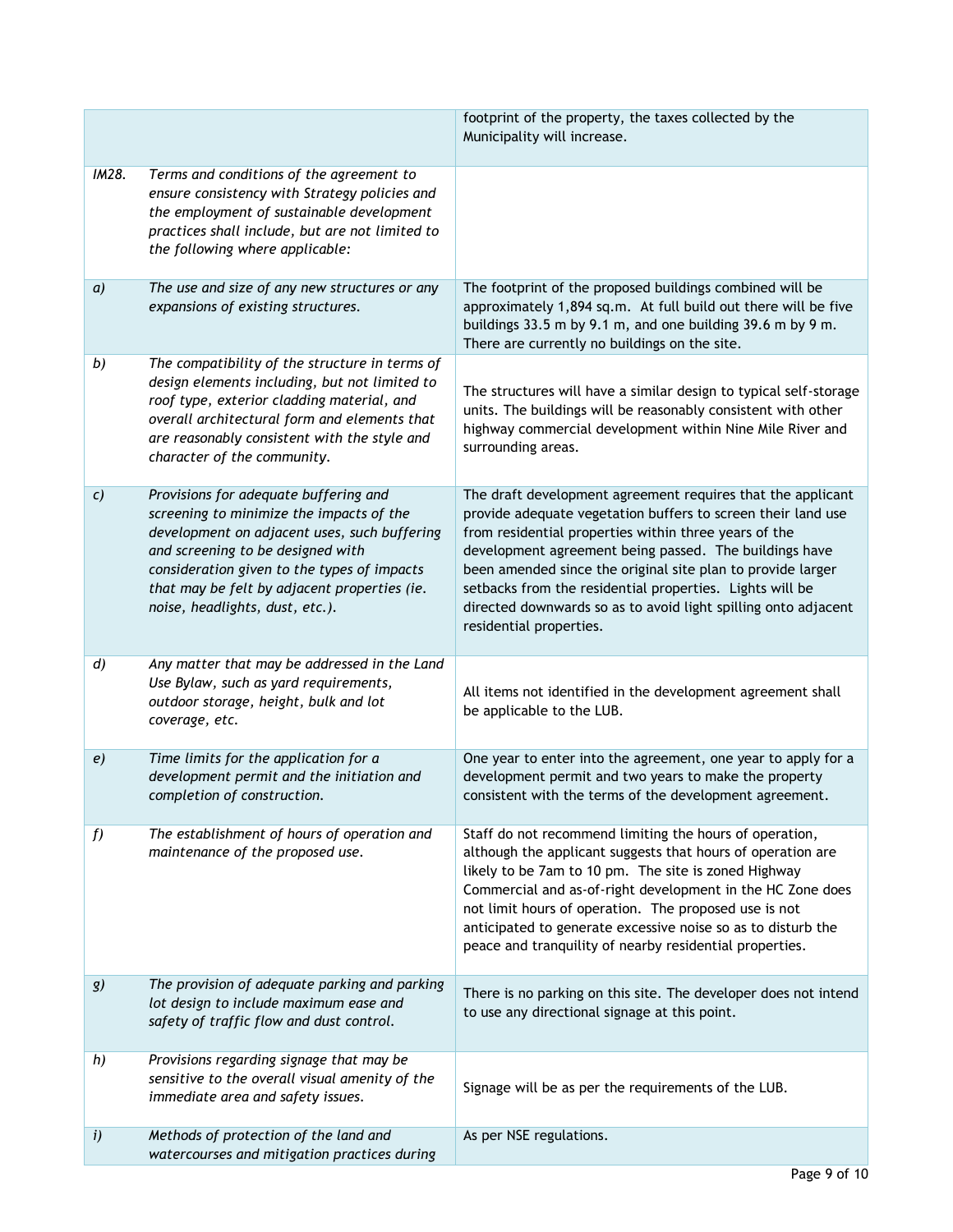|                  |                                                                                                                                                                                                                                                                                                          | footprint of the property, the taxes collected by the<br>Municipality will increase.                                                                                                                                                                                                                                                                                                                                                                                   |
|------------------|----------------------------------------------------------------------------------------------------------------------------------------------------------------------------------------------------------------------------------------------------------------------------------------------------------|------------------------------------------------------------------------------------------------------------------------------------------------------------------------------------------------------------------------------------------------------------------------------------------------------------------------------------------------------------------------------------------------------------------------------------------------------------------------|
| IM28.            | Terms and conditions of the agreement to<br>ensure consistency with Strategy policies and<br>the employment of sustainable development<br>practices shall include, but are not limited to<br>the following where applicable:                                                                             |                                                                                                                                                                                                                                                                                                                                                                                                                                                                        |
| $\boldsymbol{a}$ | The use and size of any new structures or any<br>expansions of existing structures.                                                                                                                                                                                                                      | The footprint of the proposed buildings combined will be<br>approximately 1,894 sq.m. At full build out there will be five<br>buildings 33.5 m by 9.1 m, and one building 39.6 m by 9 m.<br>There are currently no buildings on the site.                                                                                                                                                                                                                              |
| b)               | The compatibility of the structure in terms of<br>design elements including, but not limited to<br>roof type, exterior cladding material, and<br>overall architectural form and elements that<br>are reasonably consistent with the style and<br>character of the community.                             | The structures will have a similar design to typical self-storage<br>units. The buildings will be reasonably consistent with other<br>highway commercial development within Nine Mile River and<br>surrounding areas.                                                                                                                                                                                                                                                  |
| $\mathcal{C}$    | Provisions for adequate buffering and<br>screening to minimize the impacts of the<br>development on adjacent uses, such buffering<br>and screening to be designed with<br>consideration given to the types of impacts<br>that may be felt by adjacent properties (ie.<br>noise, headlights, dust, etc.). | The draft development agreement requires that the applicant<br>provide adequate vegetation buffers to screen their land use<br>from residential properties within three years of the<br>development agreement being passed. The buildings have<br>been amended since the original site plan to provide larger<br>setbacks from the residential properties. Lights will be<br>directed downwards so as to avoid light spilling onto adjacent<br>residential properties. |
| $\boldsymbol{d}$ | Any matter that may be addressed in the Land<br>Use Bylaw, such as yard requirements,<br>outdoor storage, height, bulk and lot<br>coverage, etc.                                                                                                                                                         | All items not identified in the development agreement shall<br>be applicable to the LUB.                                                                                                                                                                                                                                                                                                                                                                               |
| e)               | Time limits for the application for a<br>development permit and the initiation and<br>completion of construction.                                                                                                                                                                                        | One year to enter into the agreement, one year to apply for a<br>development permit and two years to make the property<br>consistent with the terms of the development agreement.                                                                                                                                                                                                                                                                                      |
| f                | The establishment of hours of operation and<br>maintenance of the proposed use.                                                                                                                                                                                                                          | Staff do not recommend limiting the hours of operation,<br>although the applicant suggests that hours of operation are<br>likely to be 7am to 10 pm. The site is zoned Highway<br>Commercial and as-of-right development in the HC Zone does<br>not limit hours of operation. The proposed use is not<br>anticipated to generate excessive noise so as to disturb the<br>peace and tranquility of nearby residential properties.                                       |
| g)               | The provision of adequate parking and parking<br>lot design to include maximum ease and<br>safety of traffic flow and dust control.                                                                                                                                                                      | There is no parking on this site. The developer does not intend<br>to use any directional signage at this point.                                                                                                                                                                                                                                                                                                                                                       |
| h)               | Provisions regarding signage that may be<br>sensitive to the overall visual amenity of the<br>immediate area and safety issues.                                                                                                                                                                          | Signage will be as per the requirements of the LUB.                                                                                                                                                                                                                                                                                                                                                                                                                    |
| i)               | Methods of protection of the land and<br>watercourses and mitigation practices during                                                                                                                                                                                                                    | As per NSE regulations.                                                                                                                                                                                                                                                                                                                                                                                                                                                |